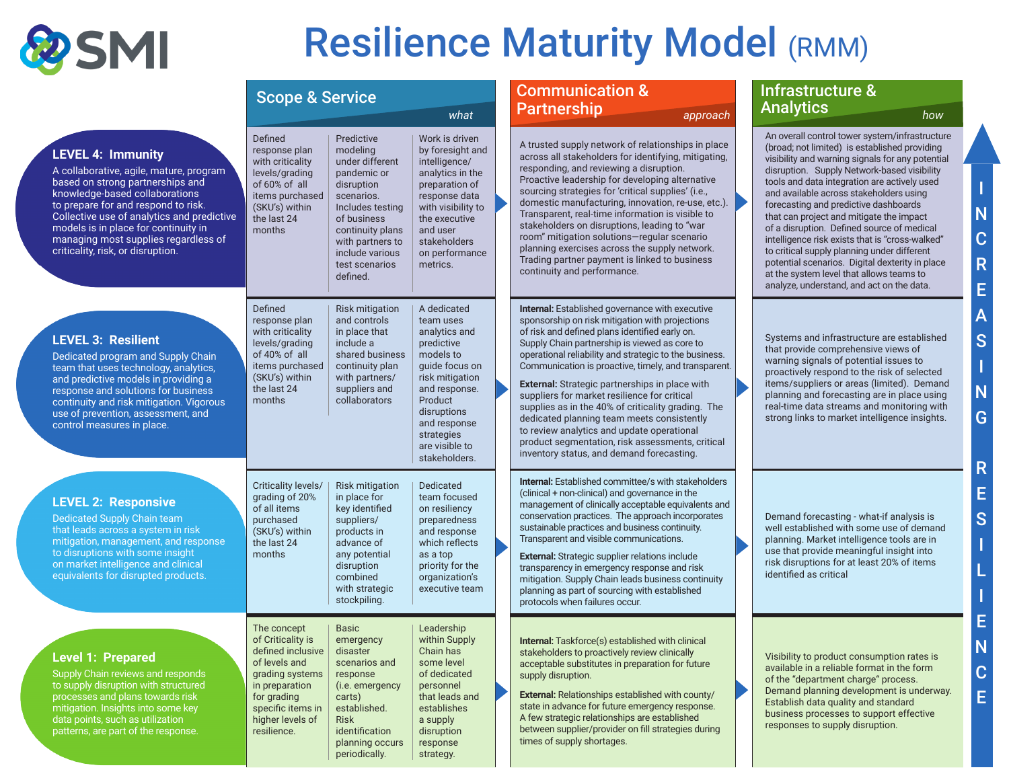

# Resilience Maturity Model (RMM)

I

N C

R E

A S

I N G

R E S

I

L

I E N C E

|                                                                                                                                                                                                                                                                                                                                                     | <b>Scope &amp; Service</b>                                                                                                                                                         |                                                                                                                                                                                                                  |                                                                                                                                                                                                                       | <b>Communication &amp;</b><br><b>Partnership</b>                                                                                                                                                                                                                                                                                                                                                                                                                                                                                                                                                                                                                             |  | Infrastructure &<br><b>Analytics</b>                                                                                                                                                                                                                                                                                                                                                                                                                                                                                                                                                                                                                                                  |  |
|-----------------------------------------------------------------------------------------------------------------------------------------------------------------------------------------------------------------------------------------------------------------------------------------------------------------------------------------------------|------------------------------------------------------------------------------------------------------------------------------------------------------------------------------------|------------------------------------------------------------------------------------------------------------------------------------------------------------------------------------------------------------------|-----------------------------------------------------------------------------------------------------------------------------------------------------------------------------------------------------------------------|------------------------------------------------------------------------------------------------------------------------------------------------------------------------------------------------------------------------------------------------------------------------------------------------------------------------------------------------------------------------------------------------------------------------------------------------------------------------------------------------------------------------------------------------------------------------------------------------------------------------------------------------------------------------------|--|---------------------------------------------------------------------------------------------------------------------------------------------------------------------------------------------------------------------------------------------------------------------------------------------------------------------------------------------------------------------------------------------------------------------------------------------------------------------------------------------------------------------------------------------------------------------------------------------------------------------------------------------------------------------------------------|--|
| <b>LEVEL 4: Immunity</b><br>A collaborative, agile, mature, program<br>based on strong partnerships and<br>knowledge-based collaborations<br>to prepare for and respond to risk.<br>Collective use of analytics and predictive<br>models is in place for continuity in<br>managing most supplies regardless of<br>criticality, risk, or disruption. | Defined<br>response plan<br>with criticality<br>levels/grading<br>of 60% of all<br>items purchased<br>(SKU's) within<br>the last 24<br>months                                      | Predictive<br>modeling<br>under different<br>pandemic or<br>disruption<br>scenarios.<br>Includes testing<br>of business<br>continuity plans<br>with partners to<br>include various<br>test scenarios<br>defined. | what<br>Work is driven<br>by foresight and<br>intelligence/<br>analytics in the<br>preparation of<br>response data<br>with visibility to<br>the executive<br>and user<br>stakeholders<br>on performance<br>metrics.   | approach<br>A trusted supply network of relationships in place<br>across all stakeholders for identifying, mitigating,<br>responding, and reviewing a disruption.<br>Proactive leadership for developing alternative<br>sourcing strategies for 'critical supplies' (i.e.,<br>domestic manufacturing, innovation, re-use, etc.).<br>Transparent, real-time information is visible to<br>stakeholders on disruptions, leading to "war<br>room" mitigation solutions-regular scenario<br>planning exercises across the supply network.<br>Trading partner payment is linked to business<br>continuity and performance.                                                         |  | how<br>An overall control tower system/infrastructure<br>(broad; not limited) is established providing<br>visibility and warning signals for any potential<br>disruption. Supply Network-based visibility<br>tools and data integration are actively used<br>and available across stakeholders using<br>forecasting and predictive dashboards<br>that can project and mitigate the impact<br>of a disruption. Defined source of medical<br>intelligence risk exists that is "cross-walked"<br>to critical supply planning under different<br>potential scenarios. Digital dexterity in place<br>at the system level that allows teams to<br>analyze, understand, and act on the data. |  |
| <b>LEVEL 3: Resilient</b><br>Dedicated program and Supply Chain<br>team that uses technology, analytics,<br>and predictive models in providing a<br>response and solutions for business<br>continuity and risk mitigation. Vigorous<br>use of prevention, assessment, and<br>control measures in place.                                             | Defined<br>response plan<br>with criticality<br>levels/grading<br>of 40% of all<br>items purchased<br>(SKU's) within<br>the last 24<br>months                                      | Risk mitigation<br>and controls<br>in place that<br>include a<br>shared business<br>continuity plan<br>with partners/<br>suppliers and<br>collaborators                                                          | A dedicated<br>team uses<br>analytics and<br>predictive<br>models to<br>guide focus on<br>risk mitigation<br>and response.<br>Product<br>disruptions<br>and response<br>strategies<br>are visible to<br>stakeholders. | Internal: Established governance with executive<br>sponsorship on risk mitigation with projections<br>of risk and defined plans identified early on.<br>Supply Chain partnership is viewed as core to<br>operational reliability and strategic to the business.<br>Communication is proactive, timely, and transparent.<br>External: Strategic partnerships in place with<br>suppliers for market resilience for critical<br>supplies as in the 40% of criticality grading. The<br>dedicated planning team meets consistently<br>to review analytics and update operational<br>product segmentation, risk assessments, critical<br>inventory status, and demand forecasting. |  | Systems and infrastructure are established<br>that provide comprehensive views of<br>warning signals of potential issues to<br>proactively respond to the risk of selected<br>items/suppliers or areas (limited). Demand<br>planning and forecasting are in place using<br>real-time data streams and monitoring with<br>strong links to market intelligence insights.                                                                                                                                                                                                                                                                                                                |  |
| <b>LEVEL 2: Responsive</b><br><b>Dedicated Supply Chain team</b><br>that leads across a system in risk<br>mitigation, management, and response<br>to disruptions with some insight<br>on market intelligence and clinical<br>equivalents for disrupted products.                                                                                    | Criticality levels/<br>grading of 20%<br>of all items<br>purchased<br>(SKU's) within<br>the last 24<br>months                                                                      | <b>Risk mitigation</b><br>in place for<br>key identified<br>suppliers/<br>products in<br>advance of<br>any potential<br>disruption<br>combined<br>with strategic<br>stockpiling.                                 | Dedicated<br>team focused<br>on resiliency<br>preparedness<br>and response<br>which reflects<br>as a top<br>priority for the<br>organization's<br>executive team                                                      | <b>Internal:</b> Established committee/s with stakeholders<br>(clinical + non-clinical) and governance in the<br>management of clinically acceptable equivalents and<br>conservation practices. The approach incorporates<br>sustainable practices and business continuity.<br>Transparent and visible communications.<br>External: Strategic supplier relations include<br>transparency in emergency response and risk<br>mitigation. Supply Chain leads business continuity<br>planning as part of sourcing with established<br>protocols when failures occur.                                                                                                             |  | Demand forecasting - what-if analysis is<br>well established with some use of demand<br>planning. Market intelligence tools are in<br>use that provide meaningful insight into<br>risk disruptions for at least 20% of items<br>identified as critical                                                                                                                                                                                                                                                                                                                                                                                                                                |  |
| <b>Level 1: Prepared</b><br>Supply Chain reviews and responds<br>to supply disruption with structured<br>processes and plans towards risk<br>mitigation. Insights into some key<br>data points, such as utilization<br>patterns, are part of the response.                                                                                          | The concept<br>of Criticality is<br>defined inclusive<br>of levels and<br>grading systems<br>in preparation<br>for grading<br>specific items in<br>higher levels of<br>resilience. | <b>Basic</b><br>emergency<br>disaster<br>scenarios and<br>response<br>(i.e. emergency<br>carts)<br>established.<br><b>Risk</b><br>identification<br>planning occurs<br>periodically.                             | Leadership<br>within Supply<br>Chain has<br>some level<br>of dedicated<br>personnel<br>that leads and<br>establishes<br>a supply<br>disruption<br>response<br>strategy.                                               | Internal: Taskforce(s) established with clinical<br>stakeholders to proactively review clinically<br>acceptable substitutes in preparation for future<br>supply disruption.<br>External: Relationships established with county/<br>state in advance for future emergency response.<br>A few strategic relationships are established<br>between supplier/provider on fill strategies during<br>times of supply shortages.                                                                                                                                                                                                                                                     |  | Visibility to product consumption rates is<br>available in a reliable format in the form<br>of the "department charge" process.<br>Demand planning development is underway.<br>Establish data quality and standard<br>business processes to support effective<br>responses to supply disruption.                                                                                                                                                                                                                                                                                                                                                                                      |  |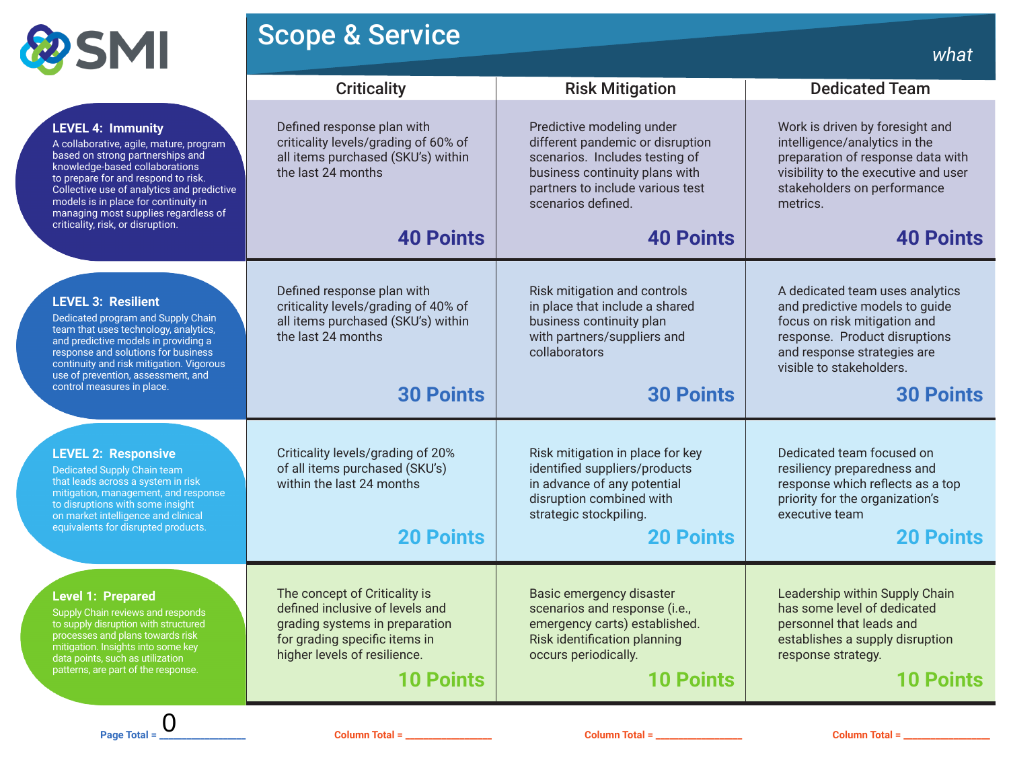

# **Scope & Service what what what what what**

|                                                                                                                                                                                                                                                                                                                                                     | <b>Criticality</b>                                                                                                                                                                      | <b>Risk Mitigation</b>                                                                                                                                                                      | <b>Dedicated Team</b>                                                                                                                                                                                             |  |
|-----------------------------------------------------------------------------------------------------------------------------------------------------------------------------------------------------------------------------------------------------------------------------------------------------------------------------------------------------|-----------------------------------------------------------------------------------------------------------------------------------------------------------------------------------------|---------------------------------------------------------------------------------------------------------------------------------------------------------------------------------------------|-------------------------------------------------------------------------------------------------------------------------------------------------------------------------------------------------------------------|--|
| <b>LEVEL 4: Immunity</b><br>A collaborative, agile, mature, program<br>based on strong partnerships and<br>knowledge-based collaborations<br>to prepare for and respond to risk.<br>Collective use of analytics and predictive<br>models is in place for continuity in<br>managing most supplies regardless of<br>criticality, risk, or disruption. | Defined response plan with<br>criticality levels/grading of 60% of<br>all items purchased (SKU's) within<br>the last 24 months                                                          | Predictive modeling under<br>different pandemic or disruption<br>scenarios. Includes testing of<br>business continuity plans with<br>partners to include various test<br>scenarios defined. | Work is driven by foresight and<br>intelligence/analytics in the<br>preparation of response data with<br>visibility to the executive and user<br>stakeholders on performance<br>metrics.                          |  |
|                                                                                                                                                                                                                                                                                                                                                     | <b>40 Points</b>                                                                                                                                                                        | <b>40 Points</b>                                                                                                                                                                            | <b>40 Points</b>                                                                                                                                                                                                  |  |
| <b>LEVEL 3: Resilient</b><br>Dedicated program and Supply Chain<br>team that uses technology, analytics,<br>and predictive models in providing a<br>response and solutions for business<br>continuity and risk mitigation. Vigorous<br>use of prevention, assessment, and<br>control measures in place.                                             | Defined response plan with<br>criticality levels/grading of 40% of<br>all items purchased (SKU's) within<br>the last 24 months<br><b>30 Points</b>                                      | Risk mitigation and controls<br>in place that include a shared<br>business continuity plan<br>with partners/suppliers and<br>collaborators<br><b>30 Points</b>                              | A dedicated team uses analytics<br>and predictive models to guide<br>focus on risk mitigation and<br>response. Product disruptions<br>and response strategies are<br>visible to stakeholders.<br><b>30 Points</b> |  |
| <b>LEVEL 2: Responsive</b><br>Dedicated Supply Chain team<br>that leads across a system in risk<br>mitigation, management, and response<br>to disruptions with some insight<br>on market intelligence and clinical<br>equivalents for disrupted products.                                                                                           | Criticality levels/grading of 20%<br>of all items purchased (SKU's)<br>within the last 24 months<br><b>20 Points</b>                                                                    | Risk mitigation in place for key<br>identified suppliers/products<br>in advance of any potential<br>disruption combined with<br>strategic stockpiling.<br><b>20 Points</b>                  | Dedicated team focused on<br>resiliency preparedness and<br>response which reflects as a top<br>priority for the organization's<br>executive team<br><b>20 Points</b>                                             |  |
| <b>Level 1: Prepared</b><br>Supply Chain reviews and responds<br>to supply disruption with structured<br>processes and plans towards risk<br>mitigation. Insights into some key<br>data points, such as utilization<br>patterns, are part of the response.                                                                                          | The concept of Criticality is<br>defined inclusive of levels and<br>grading systems in preparation<br>for grading specific items in<br>higher levels of resilience.<br><b>10 Points</b> | Basic emergency disaster<br>scenarios and response (i.e.,<br>emergency carts) established.<br><b>Risk identification planning</b><br>occurs periodically.<br><b>10 Points</b>               | Leadership within Supply Chain<br>has some level of dedicated<br>personnel that leads and<br>establishes a supply disruption<br>response strategy.<br><b>10 Points</b>                                            |  |
| $\overline{0}$<br>Page Total =                                                                                                                                                                                                                                                                                                                      | Column Total = _________________                                                                                                                                                        | Column Total = _________________                                                                                                                                                            | Column Total = $\frac{1}{2}$                                                                                                                                                                                      |  |

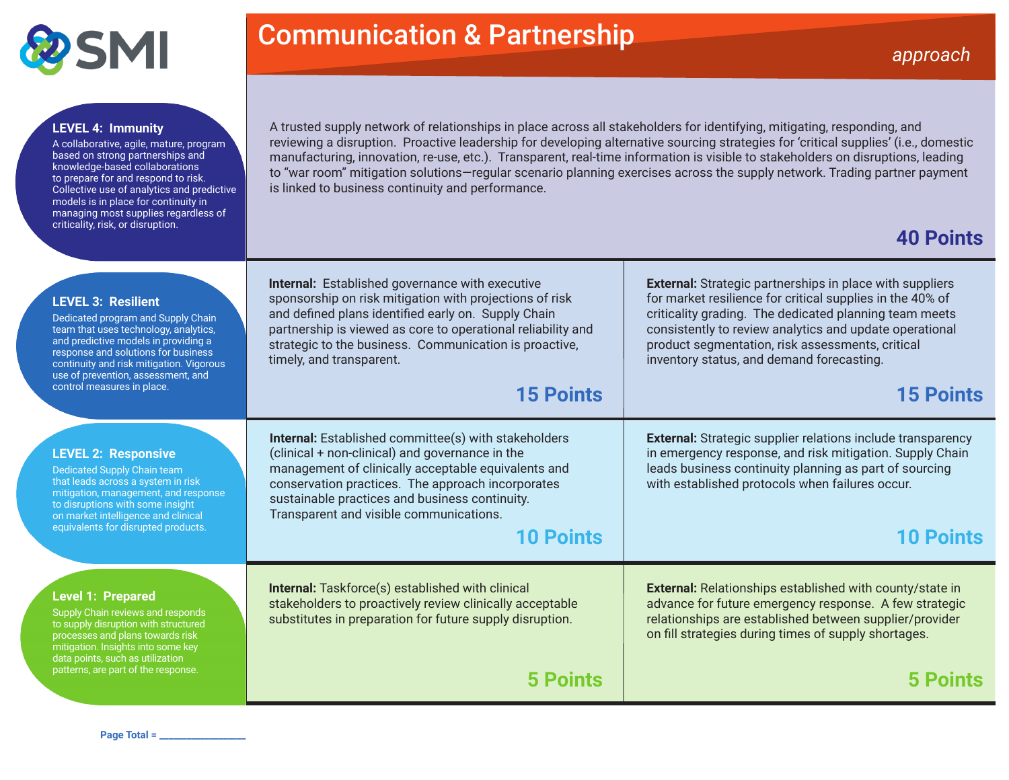

# **Communication & Partnership** *approach*

#### **LEVEL 4: Immunity**

A collaborative, agile, mature, program based on strong partnerships and knowledge-based collaborations to prepare for and respond to risk. Collective use of analytics and predictive models is in place for continuity in managing most supplies regardless of criticality, risk, or disruption.

A trusted supply network of relationships in place across all stakeholders for identifying, mitigating, responding, and reviewing a disruption. Proactive leadership for developing alternative sourcing strategies for 'critical supplies' (i.e., domestic manufacturing, innovation, re-use, etc.). Transparent, real-time information is visible to stakeholders on disruptions, leading to "war room" mitigation solutions—regular scenario planning exercises across the supply network. Trading partner payment is linked to business continuity and performance.

# **40 Points**

| <b>LEVEL 3: Resilient</b><br>Dedicated program and Supply Chain<br>team that uses technology, analytics,<br>and predictive models in providing a<br>response and solutions for business<br>continuity and risk mitigation. Vigorous<br>use of prevention, assessment, and<br>control measures in place. | <b>Internal:</b> Established governance with executive<br>sponsorship on risk mitigation with projections of risk<br>and defined plans identified early on. Supply Chain<br>partnership is viewed as core to operational reliability and<br>strategic to the business. Communication is proactive,<br>timely, and transparent.<br><b>15 Points</b> | <b>External:</b> Strategic partnerships in place with suppliers<br>for market resilience for critical supplies in the 40% of<br>criticality grading. The dedicated planning team meets<br>consistently to review analytics and update operational<br>product segmentation, risk assessments, critical<br>inventory status, and demand forecasting.<br><b>15 Points</b> |
|---------------------------------------------------------------------------------------------------------------------------------------------------------------------------------------------------------------------------------------------------------------------------------------------------------|----------------------------------------------------------------------------------------------------------------------------------------------------------------------------------------------------------------------------------------------------------------------------------------------------------------------------------------------------|------------------------------------------------------------------------------------------------------------------------------------------------------------------------------------------------------------------------------------------------------------------------------------------------------------------------------------------------------------------------|
| <b>LEVEL 2: Responsive</b><br><b>Dedicated Supply Chain team</b><br>that leads across a system in risk<br>mitigation, management, and response<br>to disruptions with some insight<br>on market intelligence and clinical<br>equivalents for disrupted products.                                        | <b>Internal:</b> Established committee(s) with stakeholders<br>(clinical + non-clinical) and governance in the<br>management of clinically acceptable equivalents and<br>conservation practices. The approach incorporates<br>sustainable practices and business continuity.<br>Transparent and visible communications.<br><b>10 Points</b>        | <b>External:</b> Strategic supplier relations include transparency<br>in emergency response, and risk mitigation. Supply Chain<br>leads business continuity planning as part of sourcing<br>with established protocols when failures occur.<br><b>10 Points</b>                                                                                                        |
| <b>Level 1: Prepared</b><br>Supply Chain reviews and responds<br>to supply disruption with structured<br>processes and plans towards risk<br>mitigation. Insights into some key<br>data points, such as utilization<br>patterns, are part of the response.                                              | <b>Internal:</b> Taskforce(s) established with clinical<br>stakeholders to proactively review clinically acceptable<br>substitutes in preparation for future supply disruption.<br>5 Points                                                                                                                                                        | <b>External:</b> Relationships established with county/state in<br>advance for future emergency response. A few strategic<br>relationships are established between supplier/provider<br>on fill strategies during times of supply shortages.                                                                                                                           |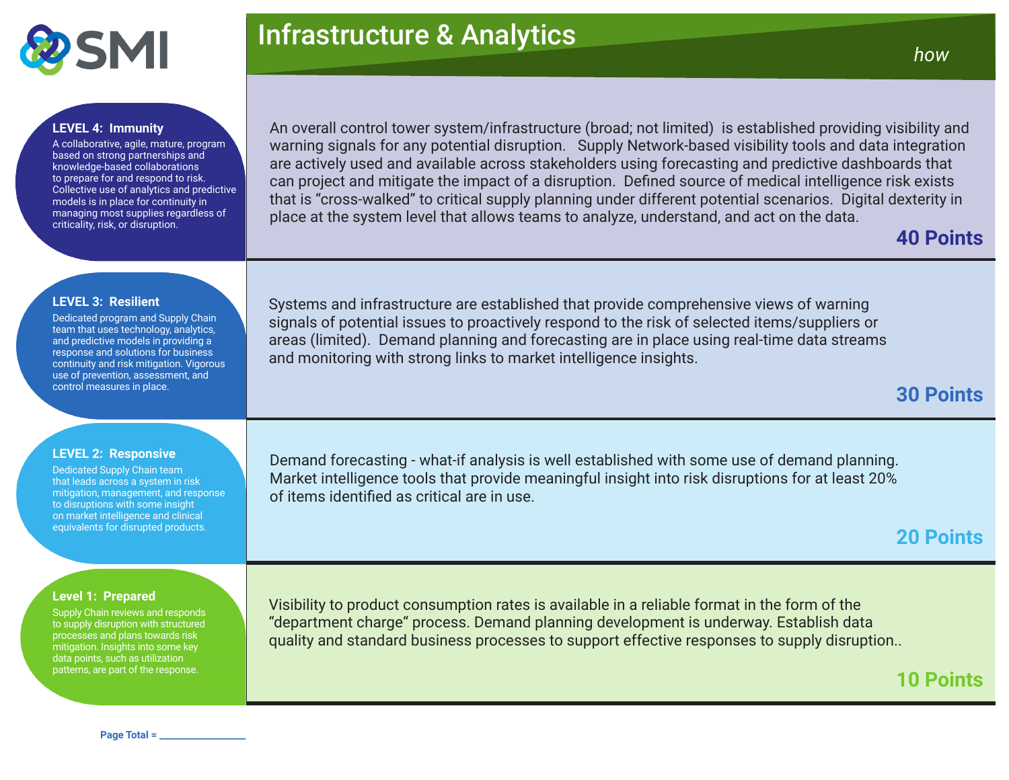

# Infrastructure & Analytics *how*

### **LEVEL 4: Immunity**

A collaborative, agile, mature, program based on strong partnerships and knowledge-based collaborations to prepare for and respond to risk. Collective use of analytics and predictive models is in place for continuity in managing most supplies regardless of criticality, risk, or disruption.

An overall control tower system/infrastructure (broad; not limited) is established providing visibility and warning signals for any potential disruption. Supply Network-based visibility tools and data integration are actively used and available across stakeholders using forecasting and predictive dashboards that can project and mitigate the impact of a disruption. Defined source of medical intelligence risk exists that is "cross-walked" to critical supply planning under different potential scenarios. Digital dexterity in place at the system level that allows teams to analyze, understand, and act on the data.

### **40 Points**

#### **LEVEL 3: Resilient**

Dedicated program and Supply Chain team that uses technology, analytics, and predictive models in providing a response and solutions for business continuity and risk mitigation. Vigorous use of prevention, assessment, and control measures in place.

Systems and infrastructure are established that provide comprehensive views of warning signals of potential issues to proactively respond to the risk of selected items/suppliers or areas (limited). Demand planning and forecasting are in place using real-time data streams and monitoring with strong links to market intelligence insights.

## **30 Points**

### **LEVEL 2: Responsive**

Dedicated Supply Chain team that leads across a system in risk mitigation, management, and response to disruptions with some insight on market intelligence and clinical equivalents for disrupted products.

Demand forecasting - what-if analysis is well established with some use of demand planning. Market intelligence tools that provide meaningful insight into risk disruptions for at least 20% of items identified as critical are in use.

### **20 Points**

**10 Points**

### **Level 1: Prepared**

Supply Chain reviews and responds to supply disruption with structured processes and plans towards risk mitigation. Insights into some key data points, such as utilization patterns, are part of the response.

Visibility to product consumption rates is available in a reliable format in the form of the "department charge" process. Demand planning development is underway. Establish data quality and standard business processes to support effective responses to supply disruption..